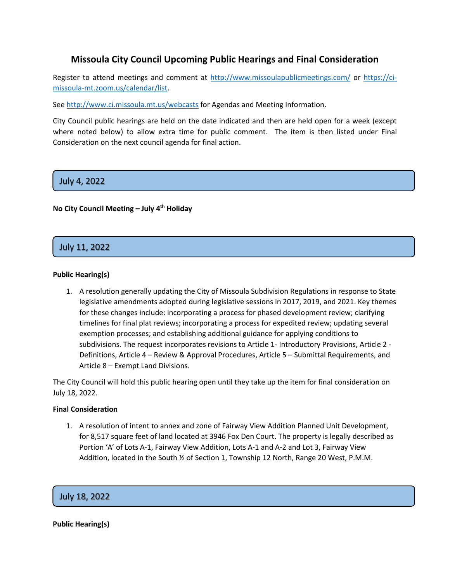# **Missoula City Council Upcoming Public Hearings and Final Consideration**

Register to attend meetings and comment at<http://www.missoulapublicmeetings.com/> or [https://ci](https://ci-missoula-mt.zoom.us/calendar/list)[missoula-mt.zoom.us/calendar/list.](https://ci-missoula-mt.zoom.us/calendar/list)

Se[e http://www.ci.missoula.mt.us/webcasts](http://www.ci.missoula.mt.us/webcasts) for Agendas and Meeting Information.

City Council public hearings are held on the date indicated and then are held open for a week (except where noted below) to allow extra time for public comment. The item is then listed under Final Consideration on the next council agenda for final action.

# 1. July 4, 2022

# **No City Council Meeting – July 4th Holiday**

# 1. July 11, 2022

### **Public Hearing(s)**

1. A resolution generally updating the City of Missoula Subdivision Regulations in response to State legislative amendments adopted during legislative sessions in 2017, 2019, and 2021. Key themes for these changes include: incorporating a process for phased development review; clarifying timelines for final plat reviews; incorporating a process for expedited review; updating several exemption processes; and establishing additional guidance for applying conditions to subdivisions. The request incorporates revisions to Article 1- Introductory Provisions, Article 2 - Definitions, Article 4 – Review & Approval Procedures, Article 5 – Submittal Requirements, and Article 8 – Exempt Land Divisions.

The City Council will hold this public hearing open until they take up the item for final consideration on July 18, 2022.

#### **Final Consideration**

1. A resolution of intent to annex and zone of Fairway View Addition Planned Unit Development, for 8,517 square feet of land located at 3946 Fox Den Court. The property is legally described as Portion 'A' of Lots A-1, Fairway View Addition, Lots A-1 and A-2 and Lot 3, Fairway View Addition, located in the South ½ of Section 1, Township 12 North, Range 20 West, P.M.M.

2. July 18, 2022

**Public Hearing(s)**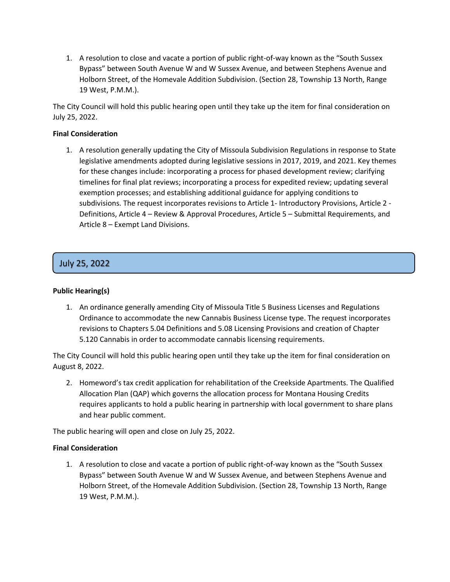1. A resolution to close and vacate a portion of public right-of-way known as the "South Sussex Bypass" between South Avenue W and W Sussex Avenue, and between Stephens Avenue and Holborn Street, of the Homevale Addition Subdivision. (Section 28, Township 13 North, Range 19 West, P.M.M.).

The City Council will hold this public hearing open until they take up the item for final consideration on July 25, 2022.

# **Final Consideration**

1. A resolution generally updating the City of Missoula Subdivision Regulations in response to State legislative amendments adopted during legislative sessions in 2017, 2019, and 2021. Key themes for these changes include: incorporating a process for phased development review; clarifying timelines for final plat reviews; incorporating a process for expedited review; updating several exemption processes; and establishing additional guidance for applying conditions to subdivisions. The request incorporates revisions to Article 1- Introductory Provisions, Article 2 - Definitions, Article 4 – Review & Approval Procedures, Article 5 – Submittal Requirements, and Article 8 – Exempt Land Divisions.

# 3. July 25, 2022

### **Public Hearing(s)**

1. An ordinance generally amending City of Missoula Title 5 Business Licenses and Regulations Ordinance to accommodate the new Cannabis Business License type. The request incorporates revisions to Chapters 5.04 Definitions and 5.08 Licensing Provisions and creation of Chapter 5.120 Cannabis in order to accommodate cannabis licensing requirements.

The City Council will hold this public hearing open until they take up the item for final consideration on August 8, 2022.

2. Homeword's tax credit application for rehabilitation of the Creekside Apartments. The Qualified Allocation Plan (QAP) which governs the allocation process for Montana Housing Credits requires applicants to hold a public hearing in partnership with local government to share plans and hear public comment.

The public hearing will open and close on July 25, 2022.

### **Final Consideration**

1. A resolution to close and vacate a portion of public right-of-way known as the "South Sussex Bypass" between South Avenue W and W Sussex Avenue, and between Stephens Avenue and Holborn Street, of the Homevale Addition Subdivision. (Section 28, Township 13 North, Range 19 West, P.M.M.).